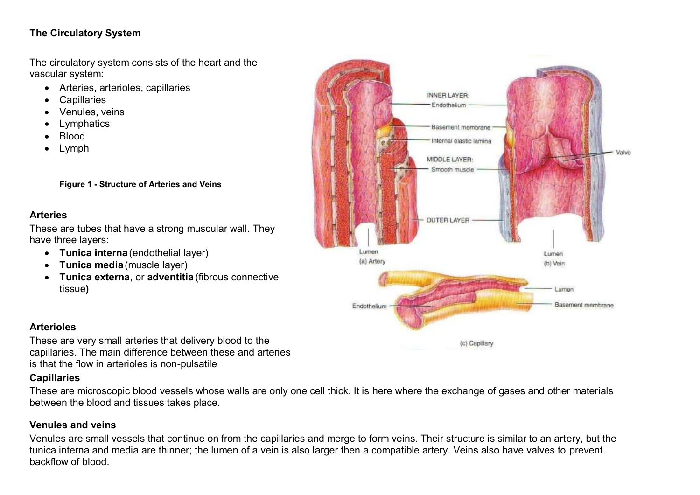# **The Circulatory System**

The circulatory system consists of the heart and the vascular system:

- Arteries, arterioles, capillaries
- **Capillaries**
- Venules, veins
- Lymphatics
- **Blood**
- Lymph

**Figure 1 - Structure of Arteries and Veins** 

#### **Arteries**

These are tubes that have a strong muscular wall. They have three layers:

- **Tunica interna** (endothelial layer)
- **Tunica media**(muscle layer)
- **Tunica externa**, or **adventitia** (fibrous connective tissue**)**



### **Arterioles**

These are very small arteries that delivery blood to the capillaries. The main difference between these and arteries is that the flow in arterioles is non-pulsatile

### **Capillaries**

These are microscopic blood vessels whose walls are only one cell thick. It is here where the exchange of gases and other materials between the blood and tissues takes place.

### **Venules and veins**

Venules are small vessels that continue on from the capillaries and merge to form veins. Their structure is similar to an artery, but the tunica interna and media are thinner; the lumen of a vein is also larger then a compatible artery. Veins also have valves to prevent backflow of blood.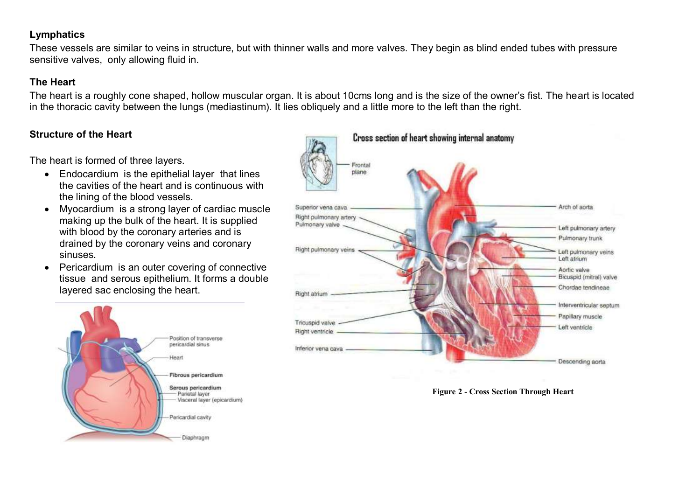#### **Lymphatics**

These vessels are similar to veins in structure, but with thinner walls and more valves. They begin as blind ended tubes with pressure sensitive valves, only allowing fluid in.

#### **The Heart**

The heart is a roughly cone shaped, hollow muscular organ. It is about 10cms long and is the size of the owner's fist. The heart is located in the thoracic cavity between the lungs (mediastinum). It lies obliquely and a little more to the left than the right.

#### **Structure of the Heart**

The heart is formed of three layers.

- Endocardium is the epithelial layer that lines the cavities of the heart and is continuous with the lining of the blood vessels.
- Myocardium is a strong layer of cardiac muscle making up the bulk of the heart. It is supplied with blood by the coronary arteries and is drained by the coronary veins and coronary sinuses.
- Pericardium is an outer covering of connective tissue and serous epithelium. It forms a double layered sac enclosing the heart.





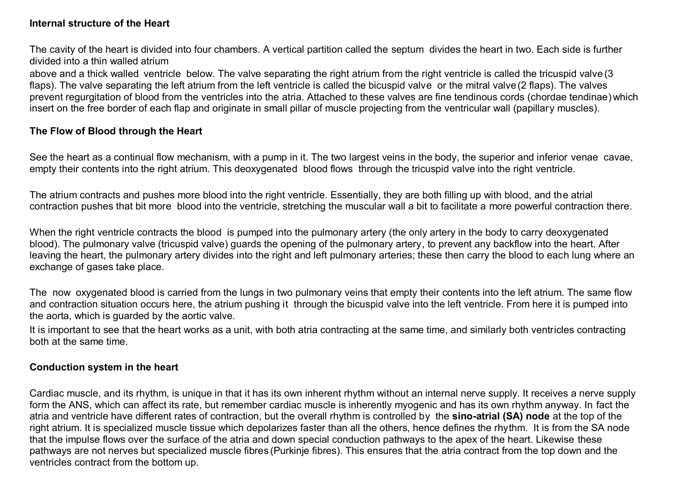#### **Internal structure of the Heart**

The cavity of the heart is divided into four chambers. A vertical partition called the septum divides the heart in two. Each side is further divided into a thin walled atrium

above and a thick walled ventricle below. The valve separating the right atrium from the right ventricle is called the tricuspid valve (3 flaps). The valve separating the left atrium from the left ventricle is called the bicuspid valve or the mitral valve(2 flaps). The valves prevent regurgitation of blood from the ventricles into the atria. Attached to these valves are fine tendinous cords (chordae tendinae) which insert on the free border of each flap and originate in small pillar of muscle projecting from the ventricular wall (papillary muscles).

#### **The Flow of Blood through the Heart**

See the heart as a continual flow mechanism, with a pump in it. The two largest veins in the body, the superior and inferior venae cavae, empty their contents into the right atrium. This deoxygenated blood flows through the tricuspid valve into the right ventricle.

The atrium contracts and pushes more blood into the right ventricle. Essentially, they are both filling up with blood, and the atrial contraction pushes that bit more blood into the ventricle, stretching the muscular wall a bit to facilitate a more powerful contraction there.

When the right ventricle contracts the blood is pumped into the pulmonary artery (the only artery in the body to carry deoxygenated blood). The pulmonary valve (tricuspid valve) guards the opening of the pulmonary artery, to prevent any backflow into the heart. After leaving the heart, the pulmonary artery divides into the right and left pulmonary arteries; these then carry the blood to each lung where an exchange of gases take place.

The now oxygenated blood is carried from the lungs in two pulmonary veins that empty their contents into the left atrium. The same flow and contraction situation occurs here, the atrium pushing it through the bicuspid valve into the left ventricle. From here it is pumped into the aorta, which is guarded by the aortic valve.

It is important to see that the heart works as a unit, with both atria contracting at the same time, and similarly both ventricles contracting both at the same time.

#### **Conduction system in the heart**

Cardiac muscle, and its rhythm, is unique in that it has its own inherent rhythm without an internal nerve supply. It receives a nerve supply form the ANS, which can affect its rate, but remember cardiac muscle is inherently myogenic and has its own rhythm anyway. In fact the atria and ventricle have different rates of contraction, but the overall rhythm is controlled by the **sino-atrial (SA) node** at the top of the right atrium. It is specialized muscle tissue which depolarizes faster than all the others, hence defines the rhythm. It is from the SA node that the impulse flows over the surface of the atria and down special conduction pathways to the apex of the heart. Likewise these pathways are not nerves but specialized muscle fibres (Purkinje fibres). This ensures that the atria contract from the top down and the ventricles contract from the bottom up.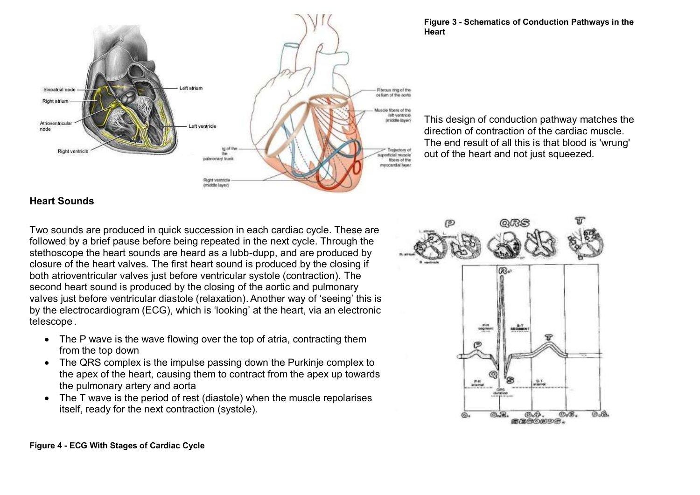

#### **Figure 3 - Schematics of Conduction Pathways in the Heart**

This design of conduction pathway matches the direction of contraction of the cardiac muscle. The end result of all this is that blood is 'wrung' out of the heart and not just squeezed.

#### **Heart Sounds**

Two sounds are produced in quick succession in each cardiac cycle. These are followed by a brief pause before being repeated in the next cycle. Through the stethoscope the heart sounds are heard as a lubb-dupp, and are produced by closure of the heart valves. The first heart sound is produced by the closing if both atrioventricular valves just before ventricular systole (contraction). The second heart sound is produced by the closing of the aortic and pulmonary valves just before ventricular diastole (relaxation).Another way of 'seeing' this is by the electrocardiogram (ECG), which is 'looking' at the heart, via an electronic telescope .

- The P wave is the wave flowing over the top of atria, contracting them from the top down
- The QRS complex is the impulse passing down the Purkinje complex to the apex of the heart, causing them to contract from the apex up towards the pulmonary artery and aorta
- The T wave is the period of rest (diastole) when the muscle repolarises itself, ready for the next contraction (systole).

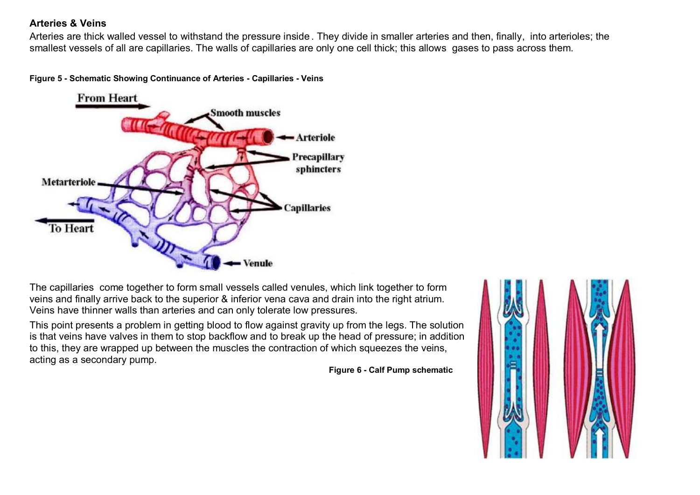#### **Arteries & Veins**

Arteries are thick walled vessel to withstand the pressure inside . They divide in smaller arteries and then, finally, into arterioles; the smallest vessels of all are capillaries. The walls of capillaries are only one cell thick; this allows gases to pass across them.





The capillaries come together to form small vessels called venules, which link together to form veins and finally arrive back to the superior & inferior vena cava and drain into the right atrium. Veins have thinner walls than arteries and can only tolerate low pressures.

This point presents a problem in getting blood to flow against gravity up from the legs. The solution is that veins have valves in them to stop backflow and to break up the head of pressure; in addition to this, they are wrapped up between the muscles the contraction of which squeezes the veins, acting as a secondary pump.

**Figure 6 - Calf Pump schematic**

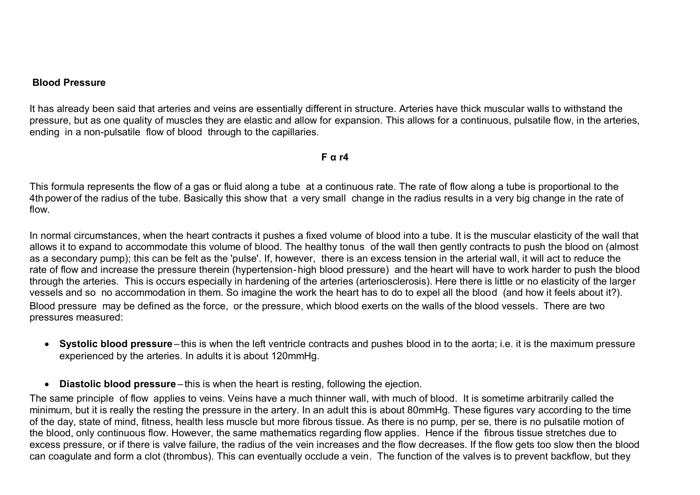#### **Blood Pressure**

It has already been said that arteries and veins are essentially different in structure. Arteries have thick muscular walls to withstand the pressure, but as one quality of muscles they are elastic and allow for expansion. This allows for a continuous, pulsatile flow, in the arteries, ending in a non-pulsatile flow of blood through to the capillaries.

**F α r4**

This formula represents the flow of a gas or fluid along a tube at a continuous rate. The rate of flow along a tube is proportional to the 4th power of the radius of the tube. Basically this show that a very small change in the radius results in a very big change in the rate of flow.

In normal circumstances, when the heart contracts it pushes a fixed volume of blood into a tube. It is the muscular elasticity of the wall that allows it to expand to accommodate this volume of blood. The healthy tonus of the wall then gently contracts to push the blood on (almost as a secondary pump); this can be felt as the 'pulse'. If, however, there is an excess tension in the arterial wall, it will act to reduce the rate of flow and increase the pressure therein (hypertension-high blood pressure) and the heart will have to work harder to push the blood through the arteries. This is occurs especially in hardening of the arteries (arteriosclerosis). Here there is little or no elasticity of the larger vessels and so no accommodation in them. So imagine the work the heart has to do to expel all the blood (and how it feels about it?). Blood pressure may be defined as the force, or the pressure, which blood exerts on the walls of the blood vessels. There are two pressures measured:

- **Systolic blood pressure** this is when the left ventricle contracts and pushes blood in to the aorta; i.e. it is the maximum pressure experienced by the arteries. In adults it is about 120mmHg.
- **Diastolic blood pressure** this is when the heart is resting, following the ejection.

The same principle of flow applies to veins. Veins have a much thinner wall, with much of blood. It is sometime arbitrarily called the minimum, but it is really the resting the pressure in the artery. In an adult this is about 80mmHg. These figures vary according to the time of the day, state of mind, fitness, health less muscle but more fibrous tissue. As there is no pump, per se, there is no pulsatile motion of the blood, only continuous flow. However, the same mathematics regarding flow applies. Hence if the fibrous tissue stretches due to excess pressure, or if there is valve failure, the radius of the vein increases and the flow decreases. If the flow gets too slow then the blood can coagulate and form a clot (thrombus). This can eventually occlude a vein. The function of the valves is to prevent backflow, but they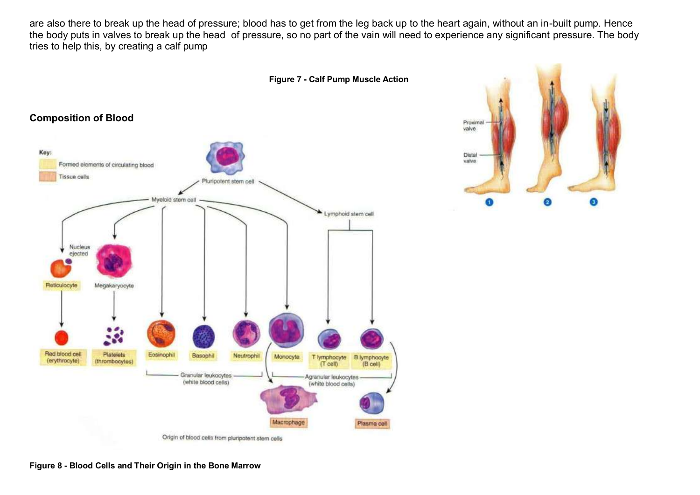are also there to break up the head of pressure; blood has to get from the leg back up to the heart again, without an in-built pump. Hence the body puts in valves to break up the head of pressure, so no part of the vain will need to experience any significant pressure. The body tries to help this, by creating a calf pump



Origin of blood cells from pluripotent stem cells



#### **Figure 8 - Blood Cells and Their Origin in the Bone Marrow**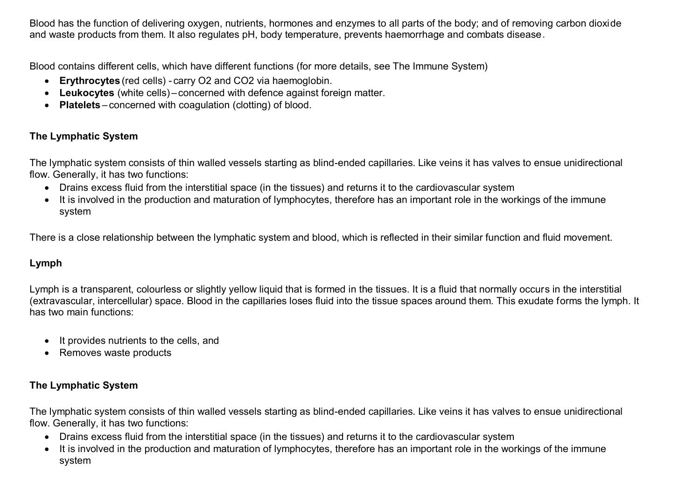Blood has the function of delivering oxygen, nutrients, hormones and enzymes to all parts of the body; and of removing carbon dioxide and waste products from them. It also regulates pH, body temperature, prevents haemorrhage and combats disease**.** 

Blood contains different cells, which have different functions (for more details, see The Immune System)

- **Erythrocytes** (red cells) carry O2 and CO2 via haemoglobin.
- **Leukocytes** (white cells) concerned with defence against foreign matter.
- **Platelets** concerned with coagulation (clotting) of blood.

### **The Lymphatic System**

The lymphatic system consists of thin walled vessels starting as blind-ended capillaries. Like veins it has valves to ensue unidirectional flow. Generally, it has two functions:

- Drains excess fluid from the interstitial space (in the tissues) and returns it to the cardiovascular system
- It is involved in the production and maturation of lymphocytes, therefore has an important role in the workings of the immune system

There is a close relationship between the lymphatic system and blood, which is reflected in their similar function and fluid movement.

### **Lymph**

Lymph is a transparent, colourless or slightly yellow liquid that is formed in the tissues. It is a fluid that normally occurs in the interstitial (extravascular, intercellular) space. Blood in the capillaries loses fluid into the tissue spaces around them. This exudate forms the lymph. It has two main functions:

- It provides nutrients to the cells, and
- Removes waste products

### **The Lymphatic System**

The lymphatic system consists of thin walled vessels starting as blind-ended capillaries. Like veins it has valves to ensue unidirectional flow. Generally, it has two functions:

- Drains excess fluid from the interstitial space (in the tissues) and returns it to the cardiovascular system
- It is involved in the production and maturation of lymphocytes, therefore has an important role in the workings of the immune system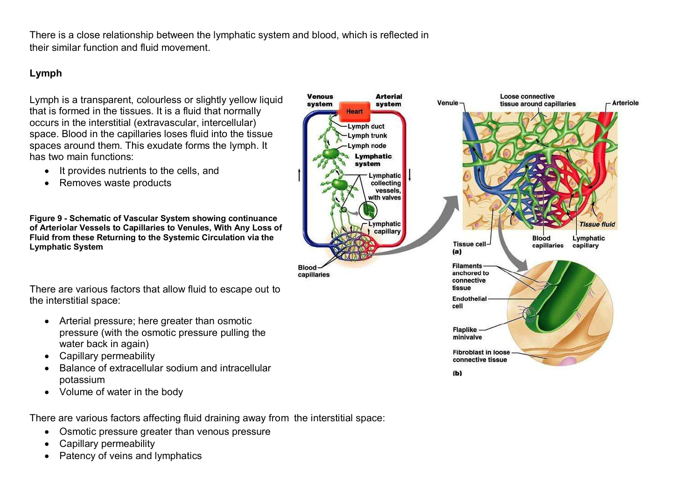There is a close relationship between the lymphatic system and blood, which is reflected in their similar function and fluid movement.

# **Lymph**

Lymph is a transparent, colourless or slightly yellow liquid that is formed in the tissues. It is a fluid that normally occurs in the interstitial (extravascular, intercellular) space. Blood in the capillaries loses fluid into the tissue spaces around them. This exudate forms the lymph. It has two main functions:

- It provides nutrients to the cells, and
- Removes waste products

**Figure 9 - Schematic of Vascular System showing continuance of Arteriolar Vessels to Capillaries to Venules, With Any Loss of Fluid from these Returning to the Systemic Circulation via the Lymphatic System**

There are various factors that allow fluid to escape out to the interstitial space:

- Arterial pressure; here greater than osmotic pressure (with the osmotic pressure pulling the water back in again)
- Capillary permeability
- Balance of extracellular sodium and intracellular potassium
- Volume of water in the body

There are various factors affecting fluid draining away from the interstitial space:

- Osmotic pressure greater than venous pressure
- Capillary permeability
- Patency of veins and lymphatics

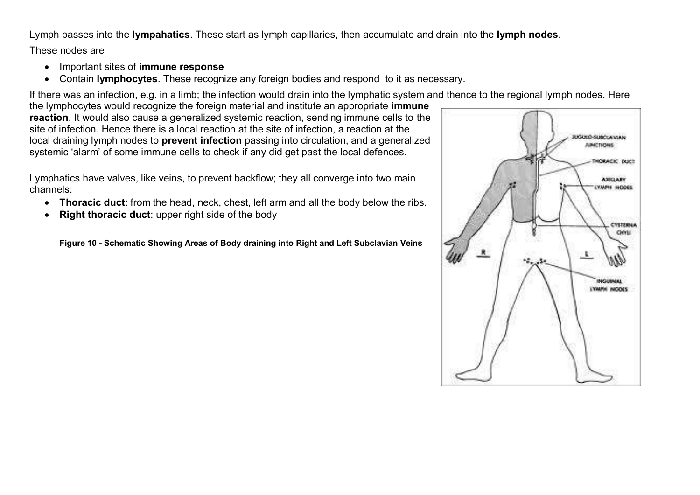Lymph passes into the **lympahatics**. These start as lymph capillaries, then accumulate and drain into the **lymph nodes**.

These nodes are

- Important sites of **immune response**
- Contain **lymphocytes**. These recognize any foreign bodies and respond to it as necessary.

If there was an infection, e.g. in a limb; the infection would drain into the lymphatic system and thence to the regional lymph nodes. Here

the lymphocytes would recognize the foreign material and institute an appropriate **immune reaction**. It would also cause a generalized systemic reaction, sending immune cells to the site of infection. Hence there is a local reaction at the site of infection, a reaction at the local draining lymph nodes to **prevent infection** passing into circulation, and a generalized systemic 'alarm' of some immune cells to check if any did get past the local defences.

Lymphatics have valves, like veins, to prevent backflow; they all converge into two main channels:

- **Thoracic duct**: from the head, neck, chest, left arm and all the body below the ribs.
- **Right thoracic duct**: upper right side of the body

**Figure 10 - Schematic Showing Areas of Body draining into Right and Left Subclavian Veins**

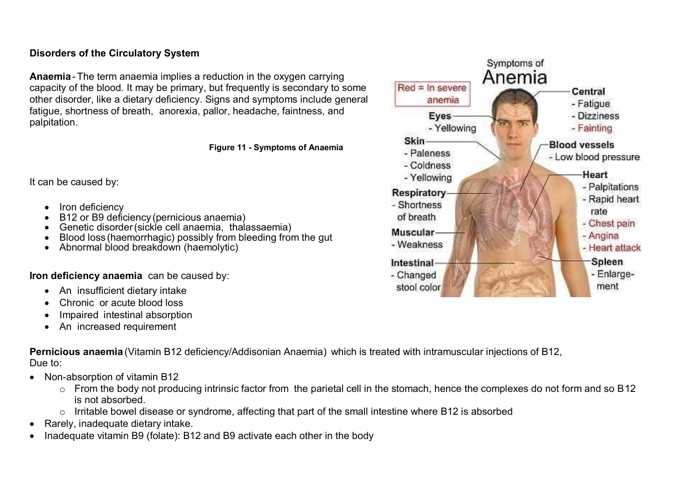#### **Disorders of the Circulatory System**

**Anaemia**-The term anaemia implies a reduction in the oxygen carrying capacity of the blood. It may be primary, but frequently is secondary to some other disorder, like a dietary deficiency. Signs and symptoms include general fatigue, shortness of breath, anorexia, pallor, headache, faintness, and palpitation.

**Figure 11 - Symptoms of Anaemia**

It can be caused by:

- Iron deficiency
- B12 or B9 deficiency (pernicious anaemia)
- Genetic disorder (sickle cell anaemia, thalassaemia)
- Blood loss (haemorrhagic) possibly from bleeding from the gut
- Abnormal blood breakdown (haemolytic)

**Iron deficiency anaemia** can be caused by:

- An insufficient dietary intake
- Chronic or acute blood loss
- Impaired intestinal absorption
- An increased requirement

**Pernicious anaemia** (Vitamin B12 deficiency/Addisonian Anaemia) which is treated with intramuscular injections of B12, Due to:

- Non-absorption of vitamin B12
	- o From the body not producing intrinsic factor from the parietal cell in the stomach, hence the complexes do not form and so B12 is not absorbed.
	- o Irritable bowel disease or syndrome, affecting that part of the small intestine where B12 is absorbed
- Rarely, inadequate dietary intake.
- Inadequate vitamin B9 (folate): B12 and B9 activate each other in the body

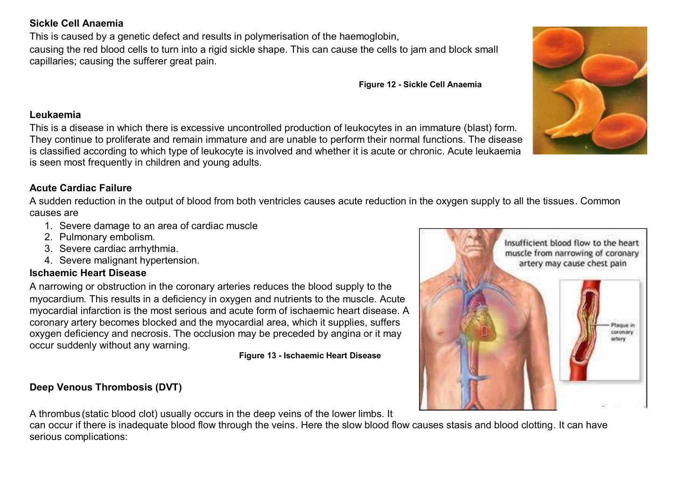#### **Sickle Cell Anaemia**

This is caused by a genetic defect and results in polymerisation of the haemoglobin,

causing the red blood cells to turn into a rigid sickle shape. This can cause the cells to jam and block small capillaries; causing the sufferer great pain.

**Figure 12 - Sickle Cell Anaemia**

#### **Leukaemia**

This is a disease in which there is excessive uncontrolled production of leukocytes in an immature (blast) form. They continue to proliferate and remain immature and are unable to perform their normal functions. The disease is classified according to which type of leukocyte is involved and whether it is acute or chronic. Acute leukaemia is seen most frequently in children and young adults.

# **Acute Cardiac Failure**

A sudden reduction in the output of blood from both ventricles causes acute reduction in the oxygen supply to all the tissues. Common causes are

- 1. Severe damage to an area of cardiac muscle
- 2. Pulmonary embolism.
- 3. Severe cardiac arrhythmia.
- 4. Severe malignant hypertension.

### **Ischaemic Heart Disease**

A narrowing or obstruction in the coronary arteries reduces the blood supply to the myocardium. This results in a deficiency in oxygen and nutrients to the muscle. Acute myocardial infarction is the most serious and acute form of ischaemic heart disease. A coronary artery becomes blocked and the myocardial area, which it supplies, suffers oxygen deficiency and necrosis. The occlusion may be preceded by angina or it may occur suddenly without any warning.

#### **Figure 13 - Ischaemic Heart Disease**

# **Deep Venous Thrombosis (DVT)**

A thrombus (static blood clot) usually occurs in the deep veins of the lower limbs. It

can occur if there is inadequate blood flow through the veins. Here the slow blood flow causes stasis and blood clotting. It can have serious complications:



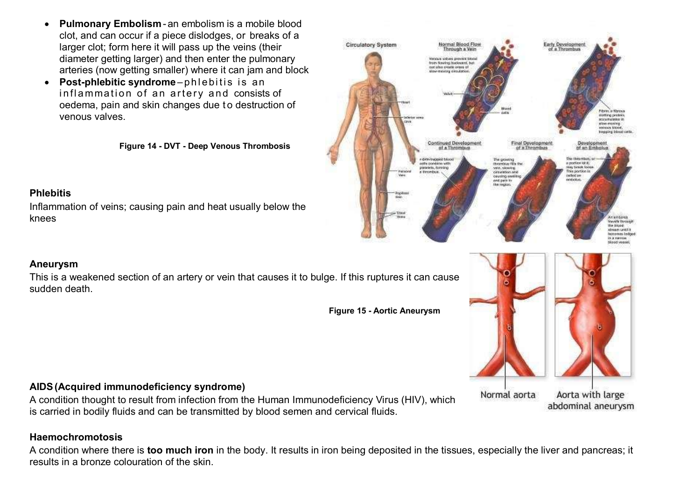- **Pulmonary Embolism** an embolism is a mobile blood clot, and can occur if a piece dislodges, or breaks of a larger clot; form here it will pass up the veins (their diameter getting larger) and then enter the pulmonary arteries (now getting smaller) where it can jam and block
- **•** Post-phlebitic syndrome-phlebitis is an inflammation of an artery and consists of oedema, pain and skin changes due to destruction of venous valves.

**Figure 14 - DVT - Deep Venous Thrombosis**

#### **Phlebitis**

**Aneurysm**

sudden death.

Inflammation of veins; causing pain and heat usually below the knees

#### Circulatory System Normal Blood Flow Early Development hrough a Vein of a Thrombus Menoule solveni preview block from Amelras buckward, but not also create organ of **Filiping** in Worker **INSTITUTE DIVERSITE** accumulates in philosophia **Honours** Elizabeth Impping blood ca **Continued Developmen** Final Development Development of a Thrombus of an Embok The this mass. detections in blood The growing thrombur fills the a poction of it. other condition with piatelete, doindric **New Sewell Society** we, slowing This portion is a incomban circulation and ceuting serie **Fulfield** into end pain for the region **Contract Payada Ferrarek** Sie biose. stream until it receives ledge in a narvow blood veesel



#### **AIDS(Acquired immunodeficiency syndrome)**

A condition thought to result from infection from the Human Immunodeficiency Virus (HIV), which is carried in bodily fluids and can be transmitted by blood semen and cervical fluids.

This is a weakened section of an artery or vein that causes it to bulge. If this ruptures it can cause

#### **Haemochromotosis**

A condition where there is **too much iron** in the body. It results in iron being deposited in the tissues, especially the liver and pancreas; it results in a bronze colouration of the skin.

**Figure 15 - Aortic Aneurysm**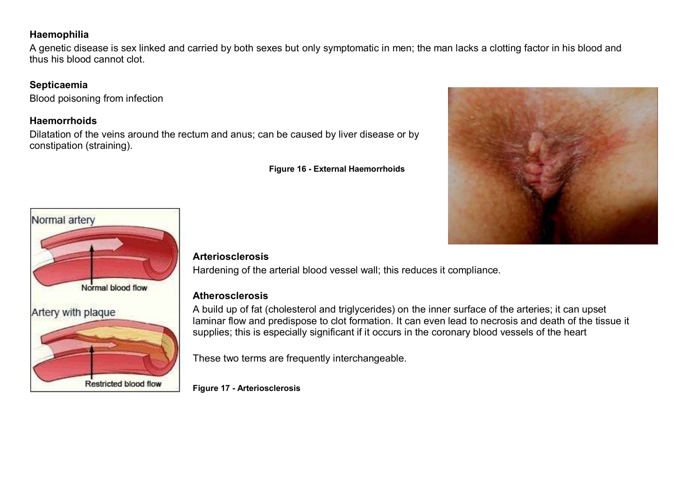#### **Haemophilia**

A genetic disease is sex linked and carried by both sexes but only symptomatic in men; the man lacks a clotting factor in his blood and thus his blood cannot clot.

# **Septicaemia**

Blood poisoning from infection

# **Haemorrhoids**

Dilatation of the veins around the rectum and anus; can be caused by liver disease or by constipation (straining).

**Figure 16 - External Haemorrhoids**





# **Arteriosclerosis**

Hardening of the arterial blood vessel wall; this reduces it compliance.

# **Atherosclerosis**

A build up of fat (cholesterol and triglycerides) on the inner surface of the arteries; it can upset laminar flow and predispose to clot formation. It can even lead to necrosis and death of the tissue it supplies; this is especially significant if it occurs in the coronary blood vessels of the heart

These two terms are frequently interchangeable.

**Figure 17 - Arteriosclerosis**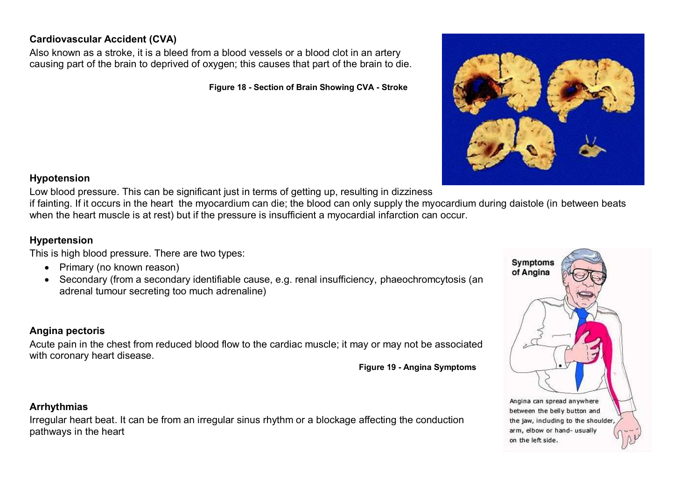# **Cardiovascular Accident (CVA)**

Also known as a stroke, it is a bleed from a blood vessels or a blood clot in an artery causing part of the brain to deprived of oxygen; this causes that part of the brain to die.

**Figure 18 - Section of Brain Showing CVA - Stroke**



#### **Hypotension**

Low blood pressure. This can be significant just in terms of getting up, resulting in dizziness

if fainting. If it occurs in the heart the myocardium can die; the blood can only supply the myocardium during daistole (in between beats when the heart muscle is at rest) but if the pressure is insufficient a myocardial infarction can occur.

### **Hypertension**

This is high blood pressure. There are two types:

- Primary (no known reason)
- Secondary (from a secondary identifiable cause, e.g. renal insufficiency, phaeochromcytosis (an adrenal tumour secreting too much adrenaline)

### **Angina pectoris**

Acute pain in the chest from reduced blood flow to the cardiac muscle; it may or may not be associated with coronary heart disease.

**Figure 19 - Angina Symptoms**

### **Arrhythmias**

Irregular heart beat. It can be from an irregular sinus rhythm or a blockage affecting the conduction pathways in the heart